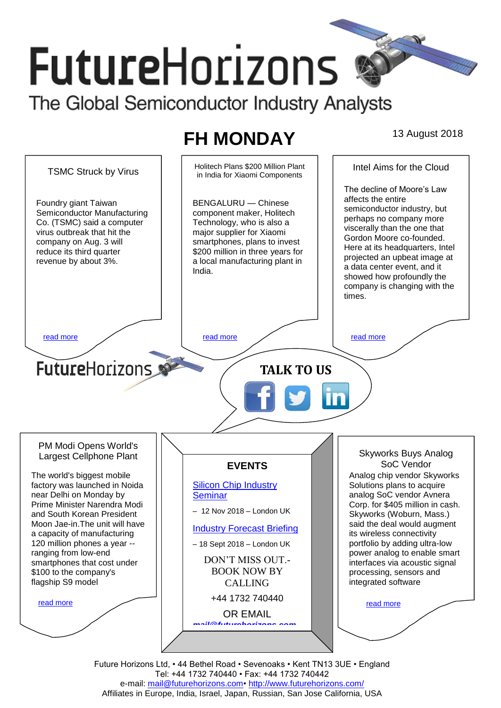# **FutureHorizons** The Global Semiconductor Industry Analysts

## **FH MONDAY** 13 August 2018

TSMC Struck by Virus Holitech Plans \$200 Million Plant Intel Aims for the Cloud in India for Xiaomi Components The decline of Moore's Law affects the entire BENGALURU — Chinese Foundry giant Taiwan semiconductor industry, but Semiconductor Manufacturing component maker, Holitech perhaps no company more Co. (TSMC) said a computer Technology, who is also a viscerally than the one that virus outbreak that hit the major supplier for Xiaomi Gordon Moore co-founded. company on Aug. 3 will smartphones, plans to invest Here at its headquarters, Intel reduce its third quarter \$200 million in three years for projected an upbeat image at revenue by about 3%. a local manufacturing plant in a data center event, and it India. showed how profoundly the company is changing with the times. [read more](#page-1-1) that the second contract the second contract of the read more that the read more that the read more **Future**Horizons **TALK TO US** PM Modi Opens World's Skyworks Buys Analog Largest Cellphone Plant SoC Vendor **EVENTS** The world's biggest mobile Analog chip vendor Skyworks factory was launched in Noida [Silicon Chip Industry](http://www.futurehorizons.com/page/12/silicon-chip-training)  Solutions plans to acquire near Delhi on Monday by **[Seminar](http://www.futurehorizons.com/page/12/silicon-chip-training)** analog SoC vendor Avnera Prime Minister Narendra Modi Corp. for \$405 million in cash. – 12 Nov 2018 – London UK and South Korean President Skyworks (Woburn, Mass.) Moon Jae-in.The unit will have said the deal would augment [Industry Forecast Briefing](http://www.futurehorizons.com/page/13/Semiconductor-Market-Forecast-Seminar) a capacity of manufacturing its wireless connectivity 120 million phones a year - portfolio by adding ultra-low – 18 Sept 2018 – London UK power analog to enable smart ranging from low-end DON'T MISS OUT. smartphones that cost under interfaces via acoustic signal BOOK NOW BY \$100 to the company's processing, sensors and flagship S9 modelintegrated software CALLING +44 1732 740440 [read more](#page-1-3) [read more](#page-1-4) OR EMAIL *[mail@futurehorizons.com](mailto:mail@futurehorizons.com)*

> Future Horizons Ltd, • 44 Bethel Road • Sevenoaks • Kent TN13 3UE • England Tel: +44 1732 740440 • Fax: +44 1732 740442 e-mail: mail@futurehorizons.com• http://www.futurehorizons.com/ Affiliates in Europe, India, Israel, Japan, Russian, San Jose California, USA